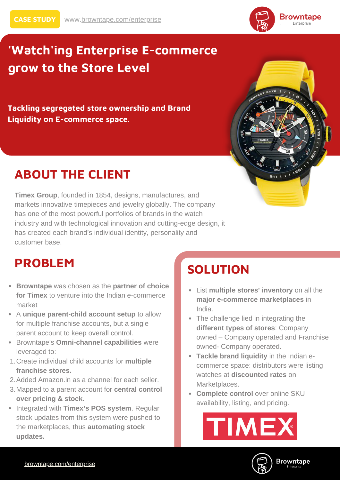

# **'Watch'ing Enterprise E-commerce grow to the Store Level**

**Tackling segregated store ownership and Brand Liquidity on E-commerce space.**

## **ABOUT THE CLIENT**

**Timex Group**, founded in 1854, designs, manufactures, and markets innovative timepieces and jewelry globally. The company has one of the most powerful portfolios of brands in the watch industry and with technological innovation and cutting-edge design, it has created each brand's individual identity, personality and customer base.

### **PROBLEM**

- **Browntape** was chosen as the **partner of choice for Timex** to venture into the Indian e-commerce market
- A **unique parent-child account setup** to allow for multiple franchise accounts, but a single parent account to keep overall control.
- Browntape's **Omni-channel capabilities** were leveraged to:
- Create individual child accounts for **multiple** 1. **franchise stores.**
- 2. Added Amazon.in as a channel for each seller.
- Mapped to a parent account for **central control** 3. **over pricing & stock.**
- Integrated with **Timex's POS** system. Regular stock updates from this system were pushed to the marketplaces, thus **automating stock updates.**

# **SOLUTION**

- List **multiple stores' inventory** on all the **major e-commerce marketplaces** in India.
- The challenge lied in integrating the **different types of stores**: Company owned – Company operated and Franchise owned- Company operated.
- **Tackle brand liquidity** in the Indian ecommerce space: distributors were listing watches at **discounted rates** on Marketplaces.
- **Complete control** over online SKU availability, listing, and pricing.